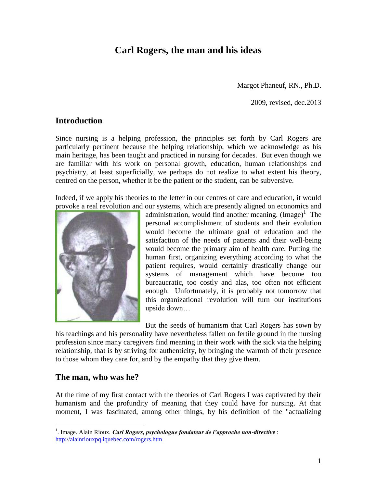# **Carl Rogers, the man and his ideas**

Margot Phaneuf, RN., Ph.D.

2009, revised, dec.2013

### **Introduction**

Since nursing is a helping profession, the principles set forth by Carl Rogers are particularly pertinent because the helping relationship, which we acknowledge as his main heritage, has been taught and practiced in nursing for decades. But even though we are familiar with his work on personal growth, education, human relationships and psychiatry, at least superficially, we perhaps do not realize to what extent his theory, centred on the person, whether it be the patient or the student, can be subversive.

Indeed, if we apply his theories to the letter in our centres of care and education, it would provoke a real revolution and our systems, which are presently aligned on economics and



administration, would find another meaning.  $(Image)^1$  The personal accomplishment of students and their evolution would become the ultimate goal of education and the satisfaction of the needs of patients and their well-being would become the primary aim of health care. Putting the human first, organizing everything according to what the patient requires, would certainly drastically change our systems of management which have become too bureaucratic, too costly and alas, too often not efficient enough. Unfortunately, it is probably not tomorrow that this organizational revolution will turn our institutions upside down…

But the seeds of humanism that Carl Rogers has sown by

his teachings and his personality have nevertheless fallen on fertile ground in the nursing profession since many caregivers find meaning in their work with the sick via the helping relationship, that is by striving for authenticity, by bringing the warmth of their presence to those whom they care for, and by the empathy that they give them.

### **The man, who was he?**

 $\overline{a}$ 

At the time of my first contact with the theories of Carl Rogers I was captivated by their humanism and the profundity of meaning that they could have for nursing. At that moment, I was fascinated, among other things, by his definition of the "actualizing

<sup>&</sup>lt;sup>1</sup>. Image. Alain Rioux. *Carl Rogers, psychologue fondateur de l'approche non-directive* : <http://alainriouxpq.iquebec.com/rogers.htm>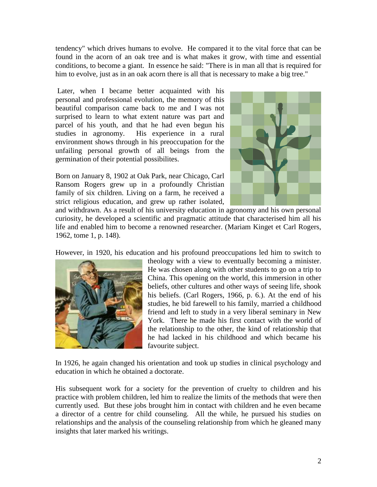tendency" which drives humans to evolve. He compared it to the vital force that can be found in the acorn of an oak tree and is what makes it grow, with time and essential conditions, to become a giant. In essence he said: "There is in man all that is required for him to evolve, just as in an oak acorn there is all that is necessary to make a big tree."

Later, when I became better acquainted with his personal and professional evolution, the memory of this beautiful comparison came back to me and I was not surprised to learn to what extent nature was part and parcel of his youth, and that he had even begun his studies in agronomy. His experience in a rural environment shows through in his preoccupation for the unfailing personal growth of all beings from the germination of their potential possibilites.

Born on January 8, 1902 at Oak Park, near Chicago, Carl Ransom Rogers grew up in a profoundly Christian family of six children. Living on a farm, he received a strict religious education, and grew up rather isolated,



and withdrawn. As a result of his university education in agronomy and his own personal curiosity, he developed a scientific and pragmatic attitude that characterised him all his life and enabled him to become a renowned researcher. (Mariam Kinget et Carl Rogers, 1962, tome 1, p. 148).

However, in 1920, his education and his profound preoccupations led him to switch to



theology with a view to eventually becoming a minister. He was chosen along with other students to go on a trip to China. This opening on the world, this immersion in other beliefs, other cultures and other ways of seeing life, shook his beliefs. (Carl Rogers, 1966, p. 6.). At the end of his studies, he bid farewell to his family, married a childhood friend and left to study in a very liberal seminary in New York. There he made his first contact with the world of the relationship to the other, the kind of relationship that he had lacked in his childhood and which became his favourite subject.

In 1926, he again changed his orientation and took up studies in clinical psychology and education in which he obtained a doctorate.

His subsequent work for a society for the prevention of cruelty to children and his practice with problem children, led him to realize the limits of the methods that were then currently used. But these jobs brought him in contact with children and he even became a director of a centre for child counseling. All the while, he pursued his studies on relationships and the analysis of the counseling relationship from which he gleaned many insights that later marked his writings.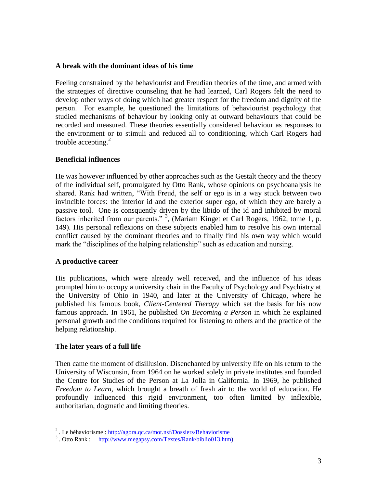#### **A break with the dominant ideas of his time**

Feeling constrained by the behaviourist and Freudian theories of the time, and armed with the strategies of directive counseling that he had learned, Carl Rogers felt the need to develop other ways of doing which had greater respect for the freedom and dignity of the person. For example, he questioned the limitations of behaviourist psychology that studied mechanisms of behaviour by looking only at outward behaviours that could be recorded and measured. These theories essentially considered behaviour as responses to the environment or to stimuli and reduced all to conditioning, which Carl Rogers had trouble accepting.<sup>2</sup>

### **Beneficial influences**

He was however influenced by other approaches such as the Gestalt theory and the theory of the individual self, promulgated by Otto Rank, whose opinions on psychoanalysis he shared. Rank had written, "With Freud, the self or ego is in a way stuck between two invincible forces: the interior id and the exterior super ego, of which they are barely a passive tool. One is consquently driven by the libido of the id and inhibited by moral factors inherited from our parents."<sup>3</sup>, (Mariam Kinget et Carl Rogers, 1962, tome 1, p. 149). His personal reflexions on these subjects enabled him to resolve his own internal conflict caused by the dominant theories and to finally find his own way which would mark the "disciplines of the helping relationship" such as education and nursing.

### **A productive career**

His publications, which were already well received, and the influence of his ideas prompted him to occupy a university chair in the Faculty of Psychology and Psychiatry at the University of Ohio in 1940, and later at the University of Chicago, where he published his famous book, *Client-Centered Therapy* which set the basis for his now famous approach. In 1961, he published *On Becoming a Person* in which he explained personal growth and the conditions required for listening to others and the practice of the helping relationship.

### **The later years of a full life**

Then came the moment of disillusion. Disenchanted by university life on his return to the University of Wisconsin, from 1964 on he worked solely in private institutes and founded the Centre for Studies of the Person at La Jolla in California. In 1969, he published *Freedom to Learn,* which brought a breath of fresh air to the world of education. He profoundly influenced this rigid environment, too often limited by inflexible, authoritarian, dogmatic and limiting theories.

<sup>&</sup>lt;sup>2</sup>. Le béhaviorisme :<http://agora.qc.ca/mot.nsf/Dossiers/Behaviorisme>

<sup>&</sup>lt;sup>3</sup>. Otto Rank : [http://www.megapsy.com/Textes/Rank/biblio013.htm\)](http://www.megapsy.com/Textes/Rank/biblio013.htm)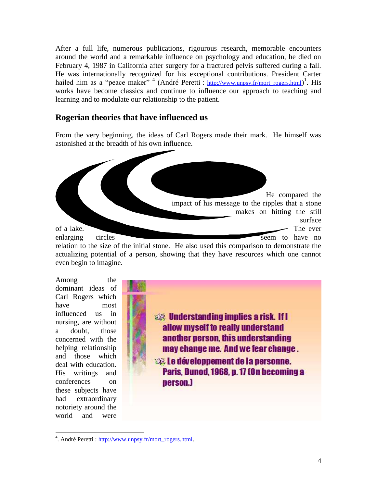After a full life, numerous publications, rigourous research, memorable encounters around the world and a remarkable influence on psychology and education, he died on February 4, 1987 in California after surgery for a fractured pelvis suffered during a fall. He was internationally recognized for his exceptional contributions. President Carter hailed him as a "peace maker"<sup>4</sup> (André Peretti : [http://www.unpsy.fr/mort\\_rogers.html](http://www.unpsy.fr/mort_rogers.html))<sup>1</sup>. His works have become classics and continue to influence our approach to teaching and learning and to modulate our relationship to the patient.

### **Rogerian theories that have influenced us**

From the very beginning, the ideas of Carl Rogers made their mark. He himself was astonished at the breadth of his own influence.



Among the dominant ideas of Carl Rogers which have most influenced us in nursing, are without a doubt, those concerned with the helping relationship and those which deal with education. His writings and conferences on these subjects have had extraordinary notoriety around the world and were

**We Understanding implies a risk. If I** allow myself to really understand another person, this understanding may change me. And we fear change. **Esta Le développement de la personne.** Paris, Dunod, 1968, p. 17 (On becoming a person.)

 $\overline{a}$ <sup>4</sup>. André Peretti [: http://www.unpsy.fr/mort\\_rogers.html.](http://www.unpsy.fr/mort_rogers.html)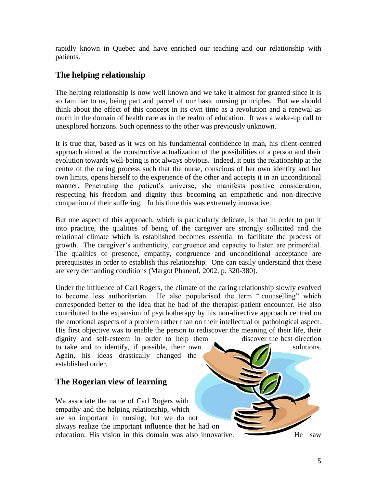rapidly known in Quebec and have enriched our teaching and our relationship with patients.

## **The helping relationship**

The helping relationship is now well known and we take it almost for granted since it is so familiar to us, being part and parcel of our basic nursing principles. But we should think about the effect of this concept in its own time as a revolution and a renewal as much in the domain of health care as in the realm of education. It was a wake-up call to unexplored horizons. Such openness to the other was previously unknown.

It is true that, based as it was on his fundamental confidence in man, his client-centred approach aimed at the constructive actualization of the possibilities of a person and their evolution towards well-being is not always obvious. Indeed, it puts the relationship at the centre of the caring process such that the nurse, conscious of her own identity and her own limits, opens herself to the experience of the other and accepts it in an unconditional manner. Penetrating the patient's universe, she manifests positive consideration, respecting his freedom and dignity thus becoming an empathetic and non-directive companion of their suffering. In his time this was extremely innovative.

But one aspect of this approach, which is particularly delicate, is that in order to put it into practice, the qualities of being of the caregiver are strongly sollicited and the relational climate which is established becomes essential to facilitate the process of growth. The caregiver's authenticity, congruence and capacity to listen are primordial. The qualities of presence, empathy, congruence and unconditional acceptance are prerequisites in order to establish this relationship. One can easily understand that these are very demanding conditions (Margot Phaneuf, 2002, p. 320-380).

Under the influence of Carl Rogers, the climate of the caring relationship slowly evolved to become less authoritarian. He also popularised the term " counselling" which corresponded better to the idea that he had of the therapist-patient encounter. He also contributed to the expansion of psychotherapy by his non-directive approach centred on the emotional aspects of a problem rather than on their intellectual or pathological aspect. His first objective was to enable the person to rediscover the meaning of their life, their dignity and self-esteem in order to help them discover the best direction to take and to identify, if possible, their own solutions. Again, his ideas drastically changed the established order.

## **The Rogerian view of learning**

We associate the name of Carl Rogers with empathy and the helping relationship, which are so important in nursing, but we do not always realize the important influence that he had on education. His vision in this domain was also innovative. He saw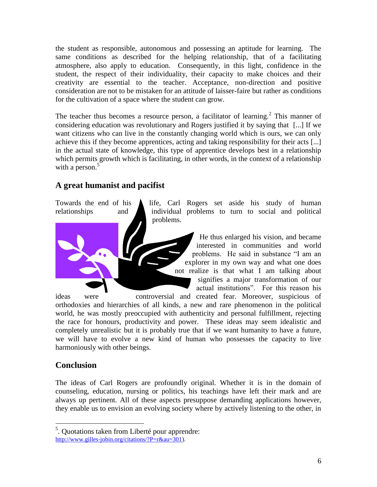the student as responsible, autonomous and possessing an aptitude for learning. The same conditions as described for the helping relationship, that of a facilitating atmosphere, also apply to education. Consequently, in this light, confidence in the student, the respect of their individuality, their capacity to make choices and their creativity are essential to the teacher. Acceptance, non-direction and positive consideration are not to be mistaken for an attitude of laisser-faire but rather as conditions for the cultivation of a space where the student can grow.

The teacher thus becomes a resource person, a facilitator of learning.<sup>2</sup> This manner of considering education was revolutionary and Rogers justified it by saying that [...] If we want citizens who can live in the constantly changing world which is ours, we can only achieve this if they become apprentices, acting and taking responsibility for their acts [...] in the actual state of knowledge, this type of apprentice develops best in a relationship which permits growth which is facilitating, in other words, in the context of a relationship with a person. $5$ 

# **A great humanist and pacifist**

Towards the end of his  $\triangle$  life, Carl Rogers set aside his study of human relationships and individual problems to turn to social and political problems.

> He thus enlarged his vision, and became interested in communities and world problems. He said in substance "I am an explorer in my own way and what one does not realize is that what I am talking about signifies a major transformation of our actual institutions". For this reason his

ideas were controversial and created fear. Moreover, suspicious of orthodoxies and hierarchies of all kinds, a new and rare phenomenon in the political world, he was mostly preoccupied with authenticity and personal fulfillment, rejecting the race for honours, productivity and power. These ideas may seem idealistic and completely unrealistic but it is probably true that if we want humanity to have a future, we will have to evolve a new kind of human who possesses the capacity to live harmoniously with other beings.

## **Conclusion**

The ideas of Carl Rogers are profoundly original. Whether it is in the domain of counseling, education, nursing or politics, his teachings have left their mark and are always up pertinent. All of these aspects presuppose demanding applications however, they enable us to envision an evolving society where by actively listening to the other, in

 5 . Quotations taken from Liberté pour apprendre: [http://www.gilles-jobin.org/citations/?P=r&au=301\)](http://www.gilles-jobin.org/citations/?P=r&au=301).